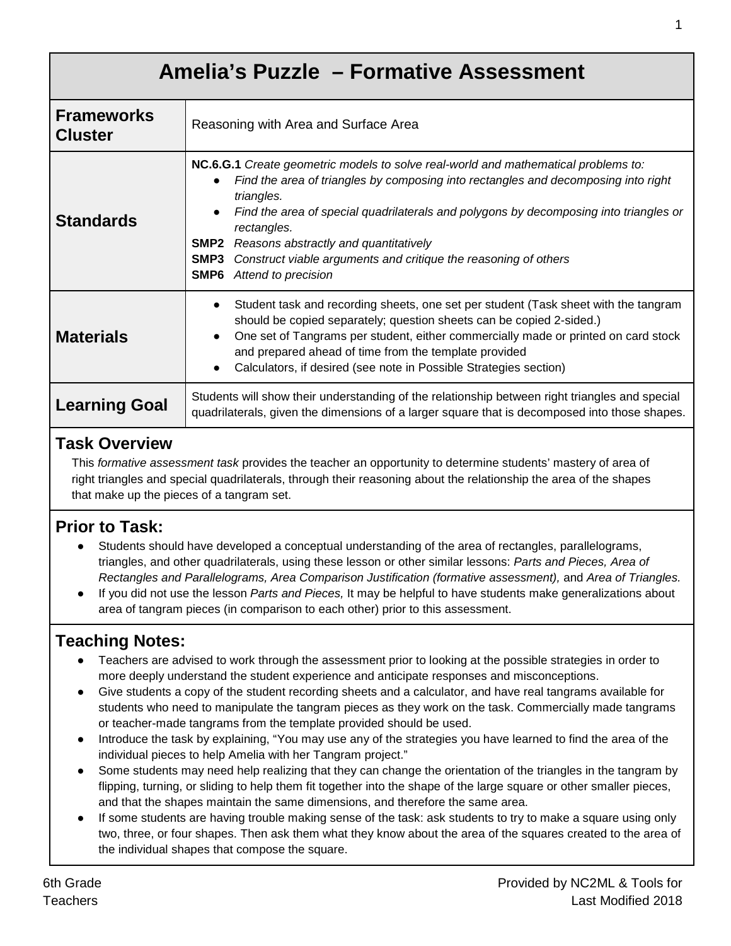| Amelia's Puzzle - Formative Assessment |                                                                                                                                                                                                                                                                                                                                                                                                                                                                                |  |  |  |
|----------------------------------------|--------------------------------------------------------------------------------------------------------------------------------------------------------------------------------------------------------------------------------------------------------------------------------------------------------------------------------------------------------------------------------------------------------------------------------------------------------------------------------|--|--|--|
| <b>Frameworks</b><br><b>Cluster</b>    | Reasoning with Area and Surface Area                                                                                                                                                                                                                                                                                                                                                                                                                                           |  |  |  |
| <b>Standards</b>                       | NC.6.G.1 Create geometric models to solve real-world and mathematical problems to:<br>Find the area of triangles by composing into rectangles and decomposing into right<br>$\bullet$<br>triangles.<br>Find the area of special quadrilaterals and polygons by decomposing into triangles or<br>rectangles.<br><b>SMP2</b> Reasons abstractly and quantitatively<br>Construct viable arguments and critique the reasoning of others<br>SMP3<br><b>SMP6</b> Attend to precision |  |  |  |
| <b>Materials</b>                       | Student task and recording sheets, one set per student (Task sheet with the tangram<br>$\bullet$<br>should be copied separately; question sheets can be copied 2-sided.)<br>One set of Tangrams per student, either commercially made or printed on card stock<br>and prepared ahead of time from the template provided<br>Calculators, if desired (see note in Possible Strategies section)<br>$\bullet$                                                                      |  |  |  |
| <b>Learning Goal</b>                   | Students will show their understanding of the relationship between right triangles and special<br>quadrilaterals, given the dimensions of a larger square that is decomposed into those shapes.                                                                                                                                                                                                                                                                                |  |  |  |

### **Task Overview**

This *formative assessment task* provides the teacher an opportunity to determine students' mastery of area of right triangles and special quadrilaterals, through their reasoning about the relationship the area of the shapes that make up the pieces of a tangram set.

### **Prior to Task:**

- Students should have developed a conceptual understanding of the area of rectangles, parallelograms, triangles, and other quadrilaterals, using these lesson or other similar lessons: *Parts and Pieces, Area of Rectangles and Parallelograms, Area Comparison Justification (formative assessment),* and *Area of Triangles.*
- If you did not use the lesson *Parts and Pieces,* It may be helpful to have students make generalizations about area of tangram pieces (in comparison to each other) prior to this assessment.

### **Teaching Notes:**

- Teachers are advised to work through the assessment prior to looking at the possible strategies in order to more deeply understand the student experience and anticipate responses and misconceptions.
- Give students a copy of the student recording sheets and a calculator, and have real tangrams available for students who need to manipulate the tangram pieces as they work on the task. Commercially made tangrams or teacher-made tangrams from the template provided should be used.
- Introduce the task by explaining, "You may use any of the strategies you have learned to find the area of the individual pieces to help Amelia with her Tangram project."
- Some students may need help realizing that they can change the orientation of the triangles in the tangram by flipping, turning, or sliding to help them fit together into the shape of the large square or other smaller pieces, and that the shapes maintain the same dimensions, and therefore the same area.
- If some students are having trouble making sense of the task: ask students to try to make a square using only two, three, or four shapes. Then ask them what they know about the area of the squares created to the area of the individual shapes that compose the square.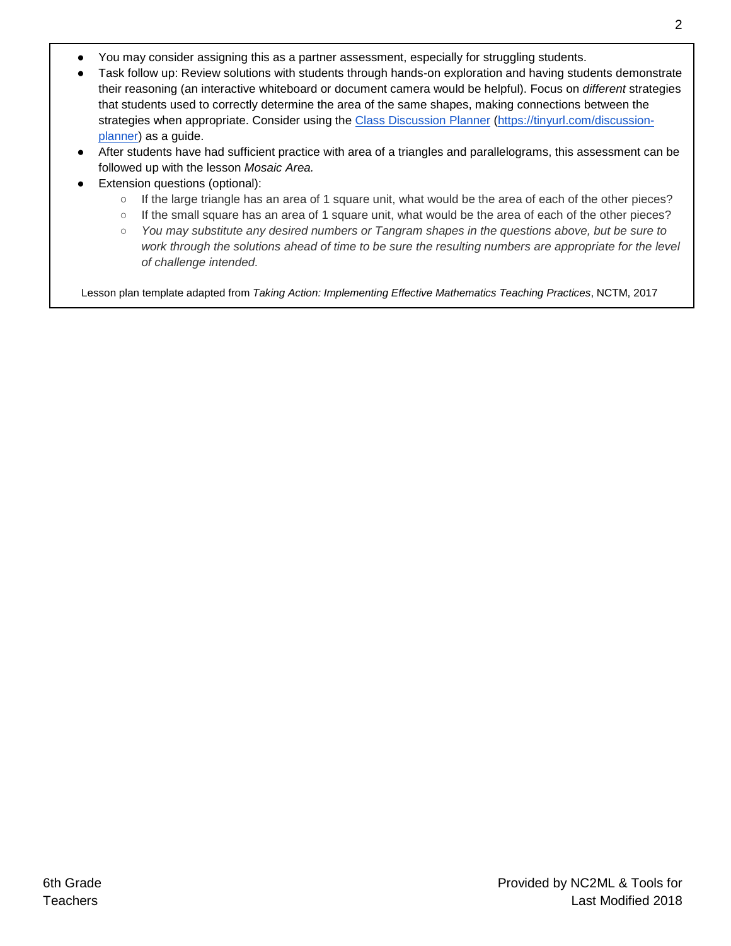- You may consider assigning this as a partner assessment, especially for struggling students.
- Task follow up: Review solutions with students through hands-on exploration and having students demonstrate their reasoning (an interactive whiteboard or document camera would be helpful). Focus on *different* strategies that students used to correctly determine the area of the same shapes, making connections between the strategies when appropriate. Consider using the [Class Discussion Planner](https://docs.google.com/document/d/1qKEV0p1zLhppNpwhYp3WqdkUw_ApvGdycuvLbvSLKEw/edit?usp=sharing) [\(https://tinyurl.com/discussion](https://tinyurl.com/discussion-planner)[planner\)](https://tinyurl.com/discussion-planner) as a guide.
- After students have had sufficient practice with area of a triangles and parallelograms, this assessment can be followed up with the lesson *Mosaic Area.*
- Extension questions (optional):
	- If the large triangle has an area of 1 square unit, what would be the area of each of the other pieces?
	- If the small square has an area of 1 square unit, what would be the area of each of the other pieces?
	- *You may substitute any desired numbers or Tangram shapes in the questions above, but be sure to*  work through the solutions ahead of time to be sure the resulting numbers are appropriate for the level *of challenge intended.*

Lesson plan template adapted from *Taking Action: Implementing Effective Mathematics Teaching Practices*, NCTM, 2017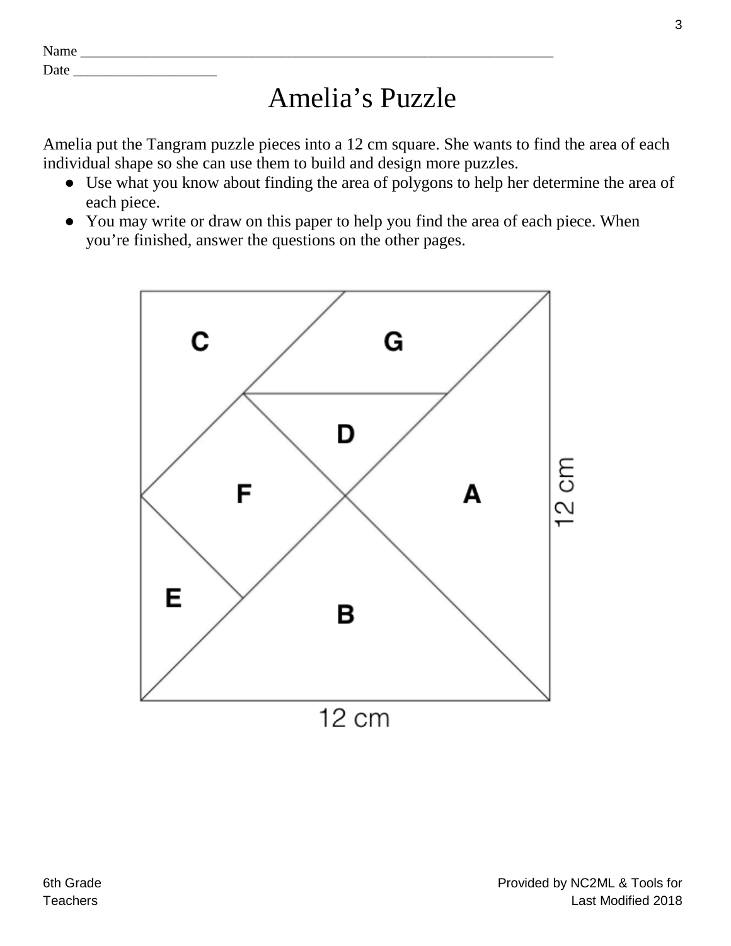| $\mathbf{N}$<br>.<br><b>Name</b> |  |
|----------------------------------|--|
| $\overline{\phantom{a}}$<br>Date |  |

## Amelia's Puzzle

Amelia put the Tangram puzzle pieces into a 12 cm square. She wants to find the area of each individual shape so she can use them to build and design more puzzles.

- Use what you know about finding the area of polygons to help her determine the area of each piece.
- You may write or draw on this paper to help you find the area of each piece. When you're finished, answer the questions on the other pages.

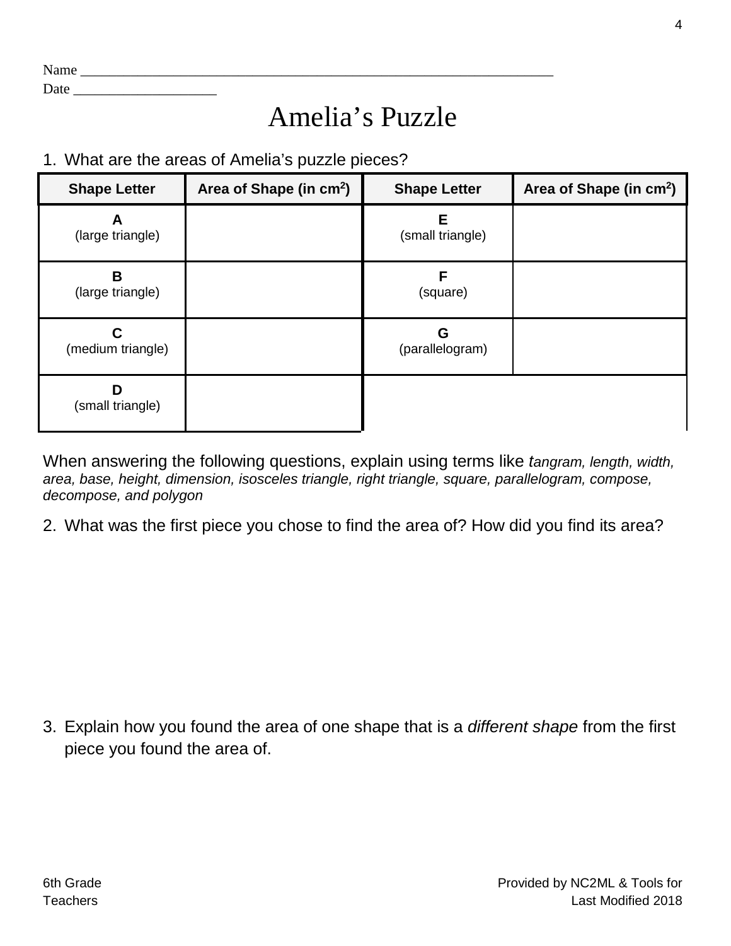| <b>NT</b><br>21 L L<br>110112 |  |
|-------------------------------|--|
|                               |  |

Date \_\_\_\_\_\_\_\_\_\_\_\_\_\_\_\_\_\_\_\_

# Amelia's Puzzle

1. What are the areas of Amelia's puzzle pieces?

| <b>Shape Letter</b>    | Area of Shape (in cm <sup>2</sup> ) | <b>Shape Letter</b>   | Area of Shape (in cm <sup>2</sup> ) |
|------------------------|-------------------------------------|-----------------------|-------------------------------------|
| (large triangle)       |                                     | E<br>(small triangle) |                                     |
| B<br>(large triangle)  |                                     | F<br>(square)         |                                     |
| С<br>(medium triangle) |                                     | G<br>(parallelogram)  |                                     |
| D<br>(small triangle)  |                                     |                       |                                     |

When answering the following questions, explain using terms like *tangram, length, width, area, base, height, dimension, isosceles triangle, right triangle, square, parallelogram, compose, decompose, and polygon*

2. What was the first piece you chose to find the area of? How did you find its area?

3. Explain how you found the area of one shape that is a *different shape* from the first piece you found the area of.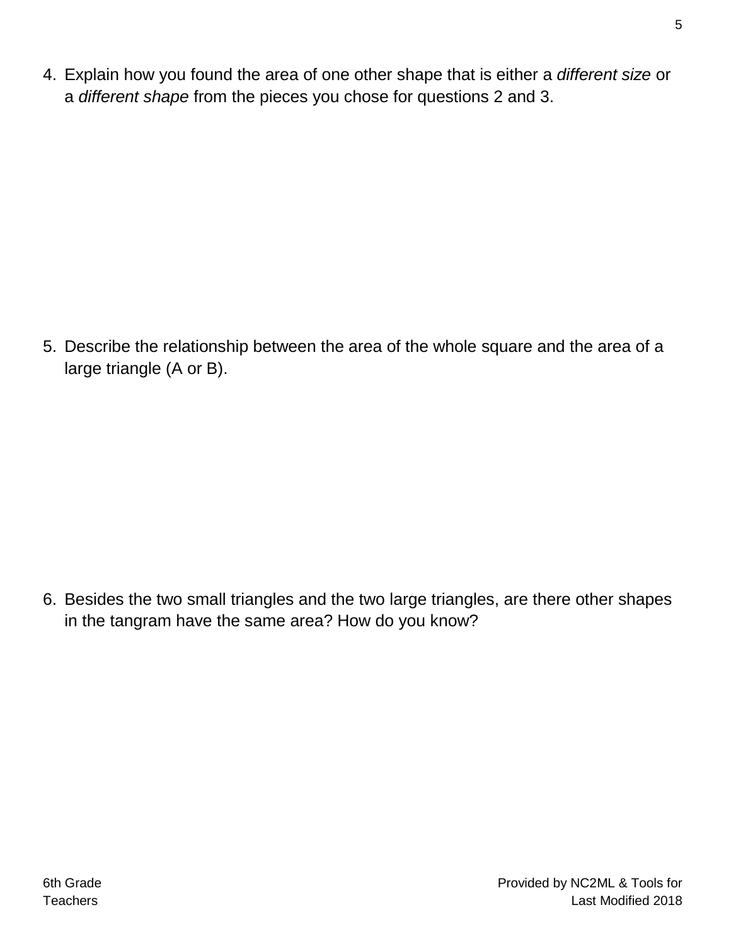4. Explain how you found the area of one other shape that is either a *different size* or a *different shape* from the pieces you chose for questions 2 and 3.

5. Describe the relationship between the area of the whole square and the area of a large triangle (A or B).

6. Besides the two small triangles and the two large triangles, are there other shapes in the tangram have the same area? How do you know?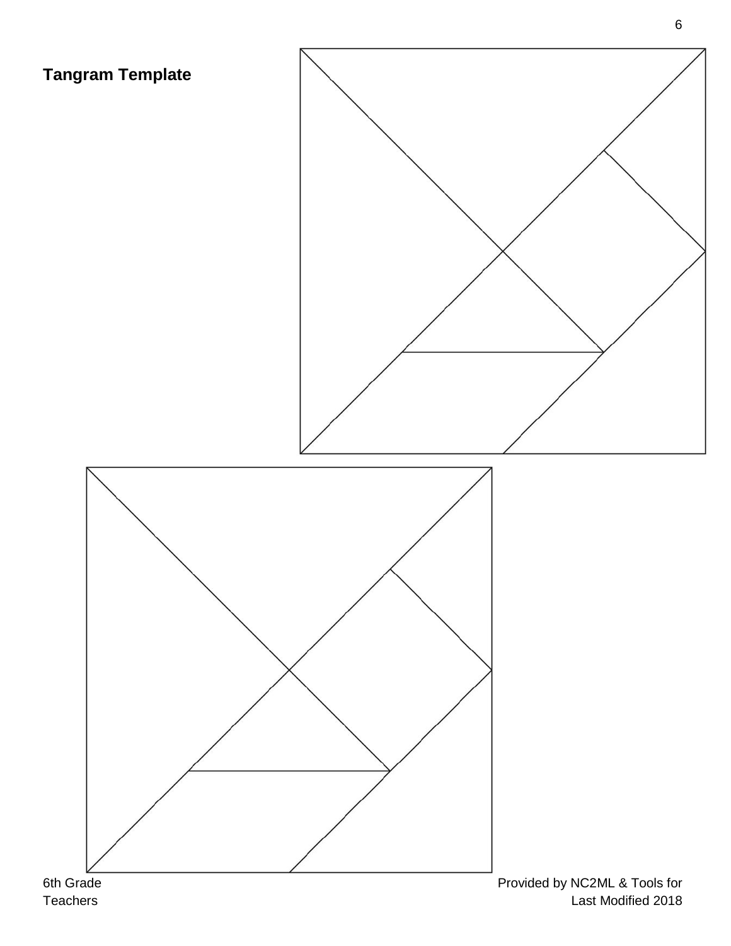



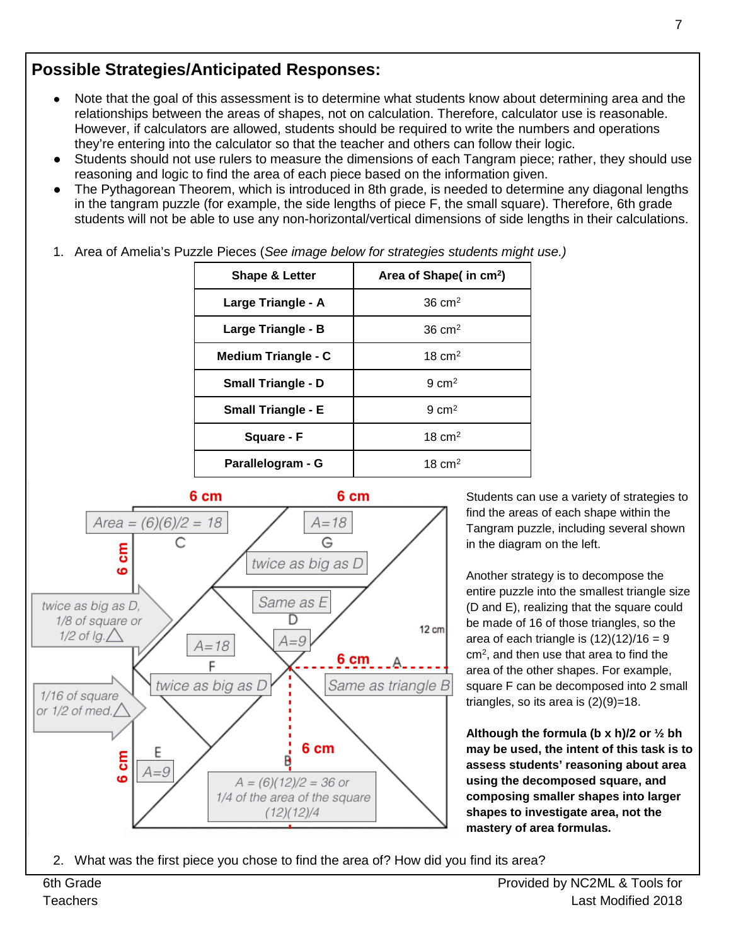### **Possible Strategies/Anticipated Responses:**

- Note that the goal of this assessment is to determine what students know about determining area and the relationships between the areas of shapes, not on calculation. Therefore, calculator use is reasonable. However, if calculators are allowed, students should be required to write the numbers and operations they're entering into the calculator so that the teacher and others can follow their logic.
- Students should not use rulers to measure the dimensions of each Tangram piece; rather, they should use reasoning and logic to find the area of each piece based on the information given.
- The Pythagorean Theorem, which is introduced in 8th grade, is needed to determine any diagonal lengths in the tangram puzzle (for example, the side lengths of piece F, the small square). Therefore, 6th grade students will not be able to use any non-horizontal/vertical dimensions of side lengths in their calculations.

| <b>Shape &amp; Letter</b> | Area of Shape( in cm <sup>2</sup> ) |  |
|---------------------------|-------------------------------------|--|
| Large Triangle - A        | $36 \text{ cm}^2$                   |  |
| Large Triangle - B        | $36 \text{ cm}^2$                   |  |
| Medium Triangle - C       | 18 $cm2$                            |  |
| <b>Small Triangle - D</b> | $9 \text{ cm}^2$                    |  |
| <b>Small Triangle - E</b> | $9 \text{ cm}^2$                    |  |
| Square - F                | $18 \text{ cm}^2$                   |  |
| Parallelogram - G         | 18 $cm2$                            |  |

1. Area of Amelia's Puzzle Pieces (*See image below for strategies students might use.)*



Students can use a variety of strategies to find the areas of each shape within the Tangram puzzle, including several shown in the diagram on the left.

Another strategy is to decompose the entire puzzle into the smallest triangle size (D and E), realizing that the square could be made of 16 of those triangles, so the area of each triangle is  $(12)(12)/16 = 9$ cm2, and then use that area to find the area of the other shapes. For example, square F can be decomposed into 2 small triangles, so its area is  $(2)(9)=18$ .

**Although the formula (b x h)/2 or ½ bh may be used, the intent of this task is to assess students' reasoning about area using the decomposed square, and composing smaller shapes into larger shapes to investigate area, not the mastery of area formulas.**

2. What was the first piece you chose to find the area of? How did you find its area?